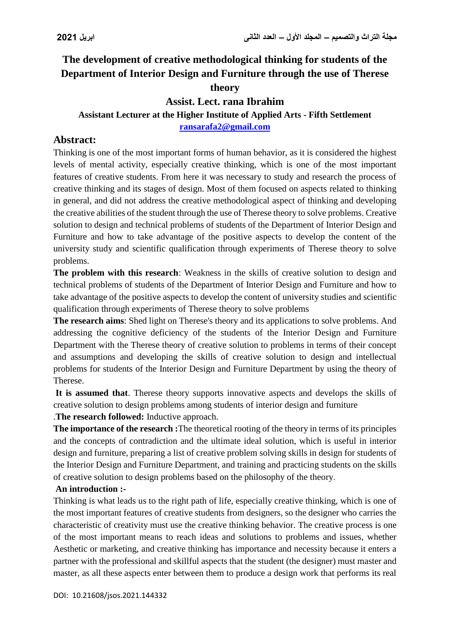# **The development of creative methodological thinking for students of the Department of Interior Design and Furniture through the use of Therese theory**

### **Assist. Lect. rana Ibrahim**

#### **Assistant Lecturer at the Higher Institute of Applied Arts - Fifth Settlement [ransarafa2@gmail.com](mailto:ransarafa2@gmail.com)**

# **Abstract:**

Thinking is one of the most important forms of human behavior, as it is considered the highest levels of mental activity, especially creative thinking, which is one of the most important features of creative students. From here it was necessary to study and research the process of creative thinking and its stages of design. Most of them focused on aspects related to thinking in general, and did not address the creative methodological aspect of thinking and developing the creative abilities of the student through the use of Therese theory to solve problems. Creative solution to design and technical problems of students of the Department of Interior Design and Furniture and how to take advantage of the positive aspects to develop the content of the university study and scientific qualification through experiments of Therese theory to solve problems.

**The problem with this research**: Weakness in the skills of creative solution to design and technical problems of students of the Department of Interior Design and Furniture and how to take advantage of the positive aspects to develop the content of university studies and scientific qualification through experiments of Therese theory to solve problems

**The research aims**: Shed light on Therese's theory and its applications to solve problems. And addressing the cognitive deficiency of the students of the Interior Design and Furniture Department with the Therese theory of creative solution to problems in terms of their concept and assumptions and developing the skills of creative solution to design and intellectual problems for students of the Interior Design and Furniture Department by using the theory of Therese.

**It is assumed that**. Therese theory supports innovative aspects and develops the skills of creative solution to design problems among students of interior design and furniture

.**The research followed:** Inductive approach.

**The importance of the research :**The theoretical rooting of the theory in terms of its principles and the concepts of contradiction and the ultimate ideal solution, which is useful in interior design and furniture, preparing a list of creative problem solving skills in design for students of the Interior Design and Furniture Department, and training and practicing students on the skills of creative solution to design problems based on the philosophy of the theory.

### **An introduction :-**

Thinking is what leads us to the right path of life, especially creative thinking, which is one of the most important features of creative students from designers, so the designer who carries the characteristic of creativity must use the creative thinking behavior. The creative process is one of the most important means to reach ideas and solutions to problems and issues, whether Aesthetic or marketing, and creative thinking has importance and necessity because it enters a partner with the professional and skillful aspects that the student (the designer) must master and master, as all these aspects enter between them to produce a design work that performs its real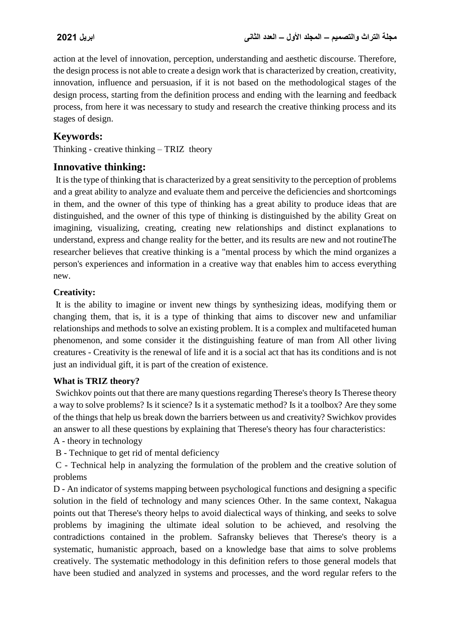action at the level of innovation, perception, understanding and aesthetic discourse. Therefore, the design process is not able to create a design work that is characterized by creation, creativity, innovation, influence and persuasion, if it is not based on the methodological stages of the design process, starting from the definition process and ending with the learning and feedback process, from here it was necessary to study and research the creative thinking process and its stages of design.

# **Keywords:**

Thinking - creative thinking – TRIZ theory

### **Innovative thinking:**

It is the type of thinking that is characterized by a great sensitivity to the perception of problems and a great ability to analyze and evaluate them and perceive the deficiencies and shortcomings in them, and the owner of this type of thinking has a great ability to produce ideas that are distinguished, and the owner of this type of thinking is distinguished by the ability Great on imagining, visualizing, creating, creating new relationships and distinct explanations to understand, express and change reality for the better, and its results are new and not routineThe researcher believes that creative thinking is a "mental process by which the mind organizes a person's experiences and information in a creative way that enables him to access everything new.

### **Creativity:**

It is the ability to imagine or invent new things by synthesizing ideas, modifying them or changing them, that is, it is a type of thinking that aims to discover new and unfamiliar relationships and methods to solve an existing problem. It is a complex and multifaceted human phenomenon, and some consider it the distinguishing feature of man from All other living creatures - Creativity is the renewal of life and it is a social act that has its conditions and is not just an individual gift, it is part of the creation of existence.

### **What is TRIZ theory?**

Swichkov points out that there are many questions regarding Therese's theory Is Therese theory a way to solve problems? Is it science? Is it a systematic method? Is it a toolbox? Are they some of the things that help us break down the barriers between us and creativity? Swichkov provides an answer to all these questions by explaining that Therese's theory has four characteristics:

A - theory in technology

B - Technique to get rid of mental deficiency

C - Technical help in analyzing the formulation of the problem and the creative solution of problems

D - An indicator of systems mapping between psychological functions and designing a specific solution in the field of technology and many sciences Other. In the same context, Nakagua points out that Therese's theory helps to avoid dialectical ways of thinking, and seeks to solve problems by imagining the ultimate ideal solution to be achieved, and resolving the contradictions contained in the problem. Safransky believes that Therese's theory is a systematic, humanistic approach, based on a knowledge base that aims to solve problems creatively. The systematic methodology in this definition refers to those general models that have been studied and analyzed in systems and processes, and the word regular refers to the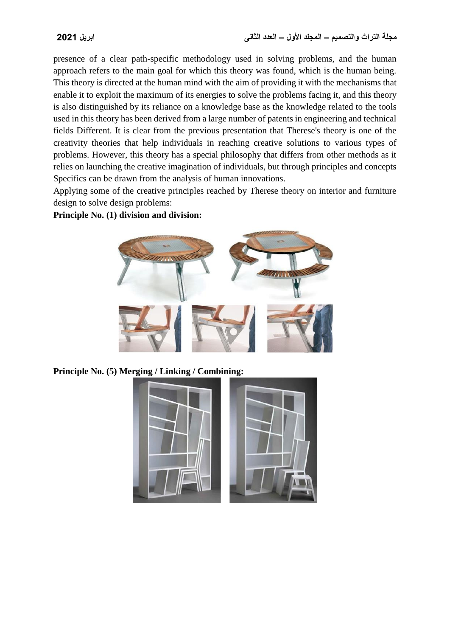presence of a clear path-specific methodology used in solving problems, and the human approach refers to the main goal for which this theory was found, which is the human being. This theory is directed at the human mind with the aim of providing it with the mechanisms that enable it to exploit the maximum of its energies to solve the problems facing it, and this theory is also distinguished by its reliance on a knowledge base as the knowledge related to the tools used in this theory has been derived from a large number of patents in engineering and technical fields Different. It is clear from the previous presentation that Therese's theory is one of the creativity theories that help individuals in reaching creative solutions to various types of problems. However, this theory has a special philosophy that differs from other methods as it relies on launching the creative imagination of individuals, but through principles and concepts Specifics can be drawn from the analysis of human innovations.

Applying some of the creative principles reached by Therese theory on interior and furniture design to solve design problems:

**Principle No. (1) division and division:**



**Principle No. (5) Merging / Linking / Combining:**

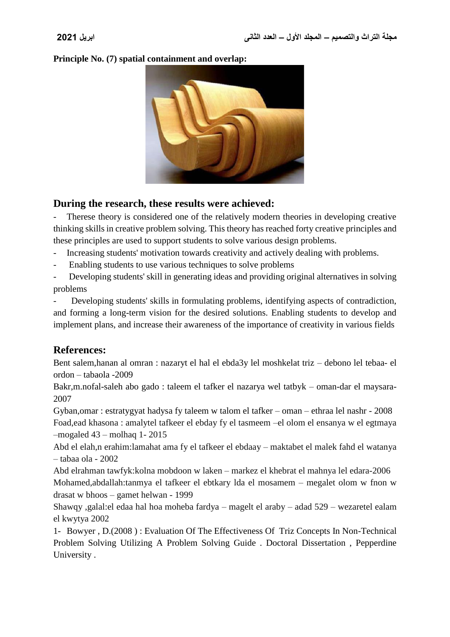**Principle No. (7) spatial containment and overlap:**



# **During the research, these results were achieved:**

Therese theory is considered one of the relatively modern theories in developing creative thinking skills in creative problem solving. This theory has reached forty creative principles and these principles are used to support students to solve various design problems.

- Increasing students' motivation towards creativity and actively dealing with problems.
- Enabling students to use various techniques to solve problems

Developing students' skill in generating ideas and providing original alternatives in solving problems

Developing students' skills in formulating problems, identifying aspects of contradiction, and forming a long-term vision for the desired solutions. Enabling students to develop and implement plans, and increase their awareness of the importance of creativity in various fields

# **References:**

Bent salem,hanan al omran : nazaryt el hal el ebda3y lel moshkelat triz – debono lel tebaa- el ordon – tabaola -2009

Bakr,m.nofal-saleh abo gado : taleem el tafker el nazarya wel tatbyk – oman-dar el maysara-2007

Gyban,omar : estratygyat hadysa fy taleem w talom el tafker – oman – ethraa lel nashr - 2008 Foad,ead khasona : amalytel tafkeer el ebday fy el tasmeem –el olom el ensanya w el egtmaya –mogaled 43 – molhaq 1- 2015

Abd el elah,n erahim:lamahat ama fy el tafkeer el ebdaay – maktabet el malek fahd el watanya – tabaa ola - 2002

Abd elrahman tawfyk:kolna mobdoon w laken – markez el khebrat el mahnya lel edara-2006 Mohamed,abdallah:tanmya el tafkeer el ebtkary lda el mosamem – megalet olom w fnon w drasat w bhoos – gamet helwan - 1999

Shawqy ,galal:el edaa hal hoa moheba fardya – magelt el araby – adad 529 – wezaretel ealam el kwytya 2002

1- Bowyer , D.(2008 ) : Evaluation Of The Effectiveness Of Triz Concepts In Non-Technical Problem Solving Utilizing A Problem Solving Guide . Doctoral Dissertation , Pepperdine University .